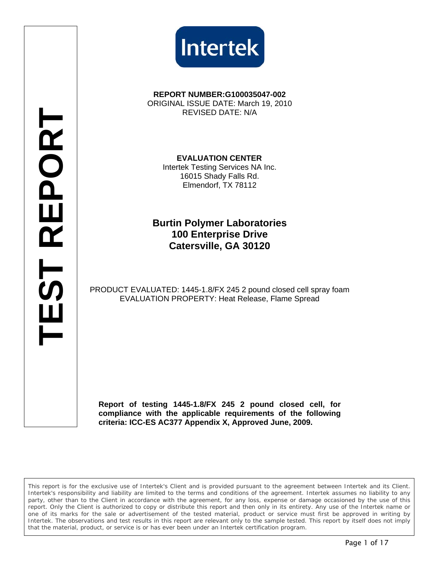



**REPORT NUMBER:G100035047-002**  ORIGINAL ISSUE DATE: March 19, 2010 REVISED DATE: N/A

 **EVALUATION CENTER** 

Intertek Testing Services NA Inc. 16015 Shady Falls Rd. Elmendorf, TX 78112

**Burtin Polymer Laboratories 100 Enterprise Drive Catersville, GA 30120** 

PRODUCT EVALUATED: 1445-1.8/FX 245 2 pound closed cell spray foam EVALUATION PROPERTY: Heat Release, Flame Spread

**Report of testing 1445-1.8/FX 245 2 pound closed cell, for compliance with the applicable requirements of the following criteria: ICC-ES AC377 Appendix X, Approved June, 2009.** 

*This report is for the exclusive use of Intertek's Client and is provided pursuant to the agreement between Intertek and its Client. Intertek's responsibility and liability are limited to the terms and conditions of the agreement. Intertek assumes no liability to any party, other than to the Client in accordance with the agreement, for any loss, expense or damage occasioned by the use of this* report. Only the Client is authorized to copy or distribute this report and then only in its entirety. Any use of the Intertek name or *one of its marks for the sale or advertisement of the tested material, product or service must first be approved in writing by Intertek. The observations and test results in this report are relevant only to the sample tested. This report by itself does not imply that the material, product, or service is or has ever been under an Intertek certification program.*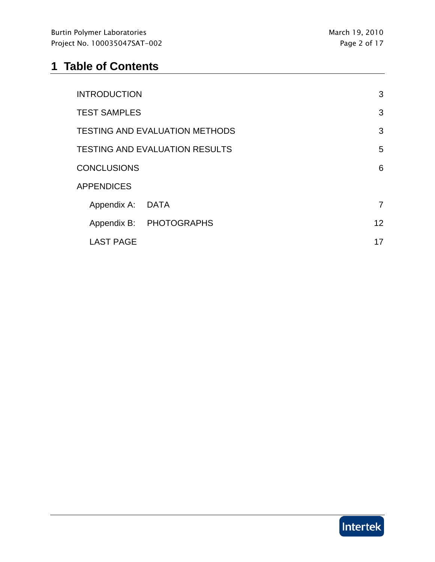# **1 Table of Contents**

| <b>INTRODUCTION</b>                   |                         | 3  |
|---------------------------------------|-------------------------|----|
| <b>TEST SAMPLES</b>                   |                         | 3  |
| <b>TESTING AND EVALUATION METHODS</b> |                         | 3  |
| <b>TESTING AND EVALUATION RESULTS</b> |                         | 5  |
| <b>CONCLUSIONS</b>                    |                         | 6  |
| <b>APPENDICES</b>                     |                         |    |
| Appendix A: DATA                      |                         | 7  |
|                                       | Appendix B: PHOTOGRAPHS | 12 |
| <b>LAST PAGE</b>                      |                         | 17 |

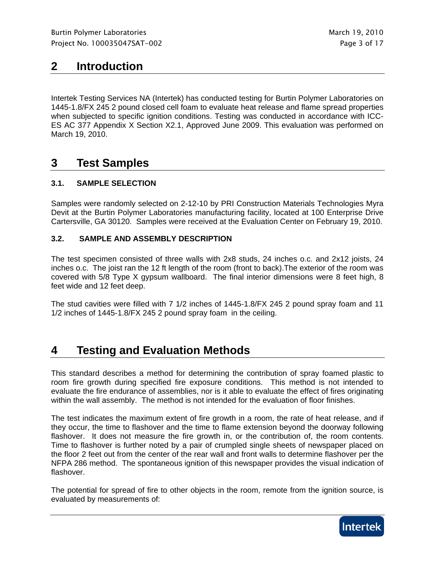## **2 Introduction**

Intertek Testing Services NA (Intertek) has conducted testing for Burtin Polymer Laboratories on 1445-1.8/FX 245 2 pound closed cell foam to evaluate heat release and flame spread properties when subjected to specific ignition conditions. Testing was conducted in accordance with ICC-ES AC 377 Appendix X Section X2.1, Approved June 2009. This evaluation was performed on March 19, 2010.

## **3 Test Samples**

#### **3.1. SAMPLE SELECTION**

Samples were randomly selected on 2-12-10 by PRI Construction Materials Technologies Myra Devit at the Burtin Polymer Laboratories manufacturing facility, located at 100 Enterprise Drive Cartersville, GA 30120. Samples were received at the Evaluation Center on February 19, 2010.

#### **3.2. SAMPLE AND ASSEMBLY DESCRIPTION**

The test specimen consisted of three walls with 2x8 studs, 24 inches o.c. and 2x12 joists, 24 inches o.c. The joist ran the 12 ft length of the room (front to back).The exterior of the room was covered with 5/8 Type X gypsum wallboard. The final interior dimensions were 8 feet high, 8 feet wide and 12 feet deep.

The stud cavities were filled with 7 1/2 inches of 1445-1.8/FX 245 2 pound spray foam and 11 1/2 inches of 1445-1.8/FX 245 2 pound spray foam in the ceiling.

## **4 Testing and Evaluation Methods**

This standard describes a method for determining the contribution of spray foamed plastic to room fire growth during specified fire exposure conditions. This method is not intended to evaluate the fire endurance of assemblies, nor is it able to evaluate the effect of fires originating within the wall assembly. The method is not intended for the evaluation of floor finishes.

The test indicates the maximum extent of fire growth in a room, the rate of heat release, and if they occur, the time to flashover and the time to flame extension beyond the doorway following flashover. It does not measure the fire growth in, or the contribution of, the room contents. Time to flashover is further noted by a pair of crumpled single sheets of newspaper placed on the floor 2 feet out from the center of the rear wall and front walls to determine flashover per the NFPA 286 method. The spontaneous ignition of this newspaper provides the visual indication of flashover.

The potential for spread of fire to other objects in the room, remote from the ignition source, is evaluated by measurements of:

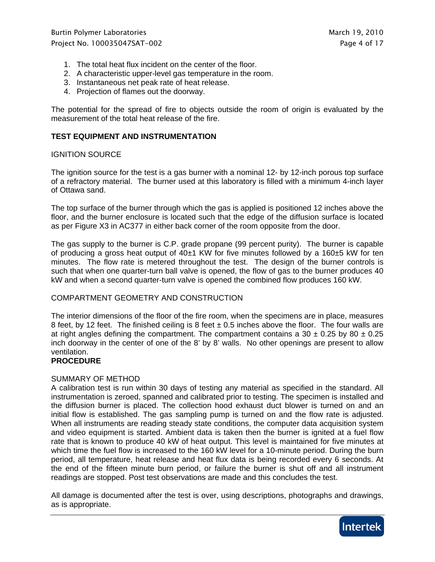- 1. The total heat flux incident on the center of the floor.
- 2. A characteristic upper-level gas temperature in the room.
- 3. Instantaneous net peak rate of heat release.
- 4. Projection of flames out the doorway.

The potential for the spread of fire to objects outside the room of origin is evaluated by the measurement of the total heat release of the fire.

#### **TEST EQUIPMENT AND INSTRUMENTATION**

#### IGNITION SOURCE

The ignition source for the test is a gas burner with a nominal 12- by 12-inch porous top surface of a refractory material. The burner used at this laboratory is filled with a minimum 4-inch layer of Ottawa sand.

The top surface of the burner through which the gas is applied is positioned 12 inches above the floor, and the burner enclosure is located such that the edge of the diffusion surface is located as per Figure X3 in AC377 in either back corner of the room opposite from the door.

The gas supply to the burner is C.P. grade propane (99 percent purity). The burner is capable of producing a gross heat output of  $40±1$  KW for five minutes followed by a  $160±5$  kW for ten minutes. The flow rate is metered throughout the test. The design of the burner controls is such that when one quarter-turn ball valve is opened, the flow of gas to the burner produces 40 kW and when a second quarter-turn valve is opened the combined flow produces 160 kW.

#### COMPARTMENT GEOMETRY AND CONSTRUCTION

The interior dimensions of the floor of the fire room, when the specimens are in place, measures 8 feet, by 12 feet. The finished ceiling is 8 feet  $\pm$  0.5 inches above the floor. The four walls are at right angles defining the compartment. The compartment contains a 30  $\pm$  0.25 by 80  $\pm$  0.25 inch doorway in the center of one of the 8' by 8' walls. No other openings are present to allow ventilation.

#### **PROCEDURE**

#### SUMMARY OF METHOD

A calibration test is run within 30 days of testing any material as specified in the standard. All instrumentation is zeroed, spanned and calibrated prior to testing. The specimen is installed and the diffusion burner is placed. The collection hood exhaust duct blower is turned on and an initial flow is established. The gas sampling pump is turned on and the flow rate is adjusted. When all instruments are reading steady state conditions, the computer data acquisition system and video equipment is started. Ambient data is taken then the burner is ignited at a fuel flow rate that is known to produce 40 kW of heat output. This level is maintained for five minutes at which time the fuel flow is increased to the 160 kW level for a 10-minute period. During the burn period, all temperature, heat release and heat flux data is being recorded every 6 seconds. At the end of the fifteen minute burn period, or failure the burner is shut off and all instrument readings are stopped. Post test observations are made and this concludes the test.

All damage is documented after the test is over, using descriptions, photographs and drawings, as is appropriate.

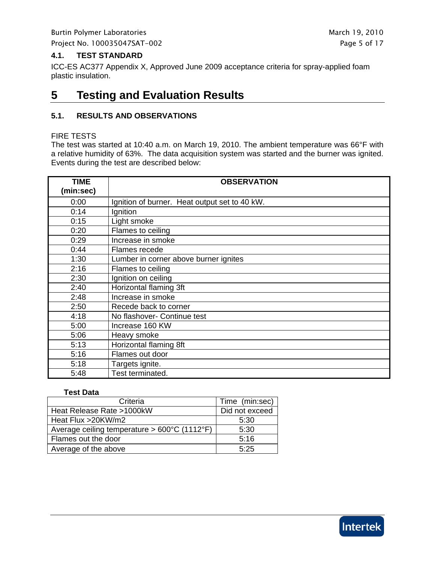Burtin Polymer Laboratories and the state of the March 19, 2010 Project No. 100035047SAT-002 **Project No. 100035047SAT-002** 

#### **4.1. TEST STANDARD**

ICC-ES AC377 Appendix X, Approved June 2009 acceptance criteria for spray-applied foam plastic insulation.

## **5 Testing and Evaluation Results**

#### **5.1. RESULTS AND OBSERVATIONS**

#### FIRE TESTS

The test was started at 10:40 a.m. on March 19, 2010. The ambient temperature was 66°F with a relative humidity of 63%. The data acquisition system was started and the burner was ignited. Events during the test are described below:

| <b>TIME</b><br>(min:sec) | <b>OBSERVATION</b>                            |
|--------------------------|-----------------------------------------------|
| 0:00                     | Ignition of burner. Heat output set to 40 kW. |
| 0:14                     | Ignition                                      |
| 0:15                     | Light smoke                                   |
| 0:20                     | Flames to ceiling                             |
| 0:29                     | Increase in smoke                             |
| 0:44                     | Flames recede                                 |
| 1:30                     | Lumber in corner above burner ignites         |
| 2:16                     | Flames to ceiling                             |
| 2:30                     | Ignition on ceiling                           |
| 2:40                     | Horizontal flaming 3ft                        |
| 2:48                     | Increase in smoke                             |
| 2:50                     | Recede back to corner                         |
| 4:18                     | No flashover- Continue test                   |
| 5:00                     | Increase 160 KW                               |
| 5:06                     | Heavy smoke                                   |
| 5:13                     | Horizontal flaming 8ft                        |
| 5:16                     | Flames out door                               |
| 5:18                     | Targets ignite.                               |
| 5:48                     | Test terminated.                              |

#### **Test Data**

| Criteria                                               | Time (min:sec) |
|--------------------------------------------------------|----------------|
| Heat Release Rate >1000kW                              | Did not exceed |
| Heat Flux > 20KW/m2                                    | 5:30           |
| Average ceiling temperature > $600^{\circ}$ C (1112°F) | 5:30           |
| Flames out the door                                    | 5:16           |
| Average of the above                                   | 5.25           |

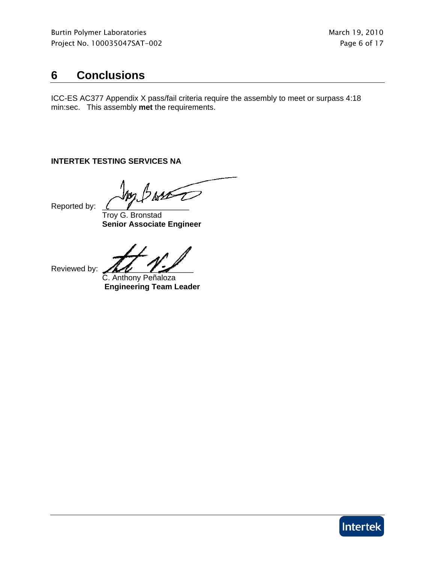## **6 Conclusions**

ICC-ES AC377 Appendix X pass/fail criteria require the assembly to meet or surpass 4:18 min:sec. This assembly **met** the requirements.

### **INTERTEK TESTING SERVICES NA**

Reported by:

 Troy G. Bronstad **Senior Associate Engineer** 

Reviewed by:

 C. Anthony Peñaloza **Engineering Team Leader** 

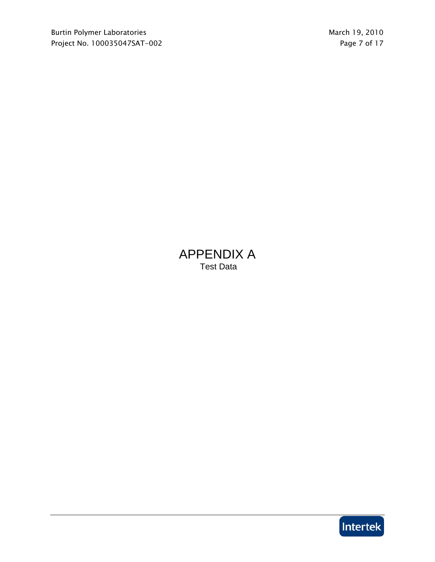## APPENDIX A Test Data

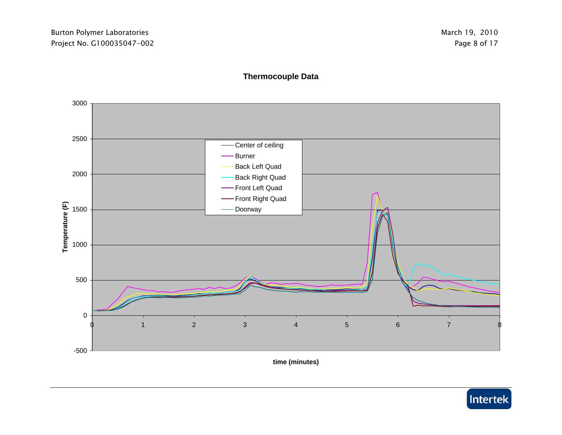

### **Thermocouple Data**

**time (minutes)**

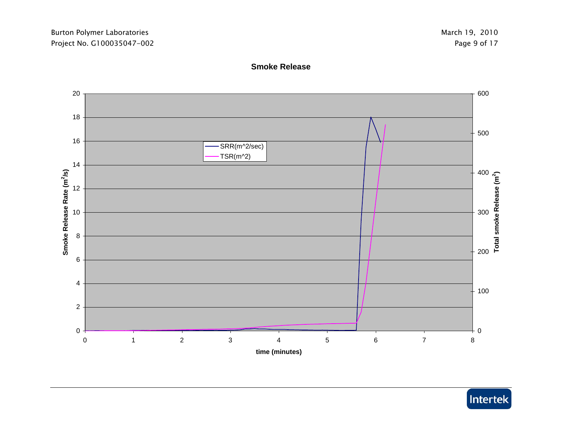### **Smoke Release**



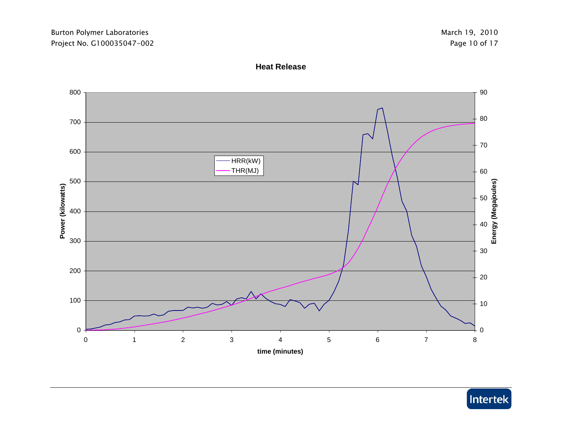#### **Heat Release**



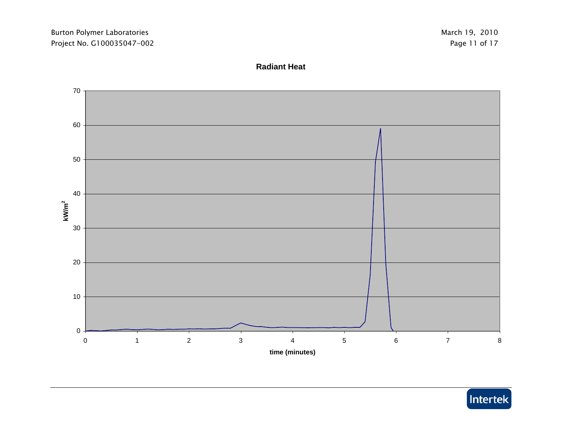#### **Radiant Heat**



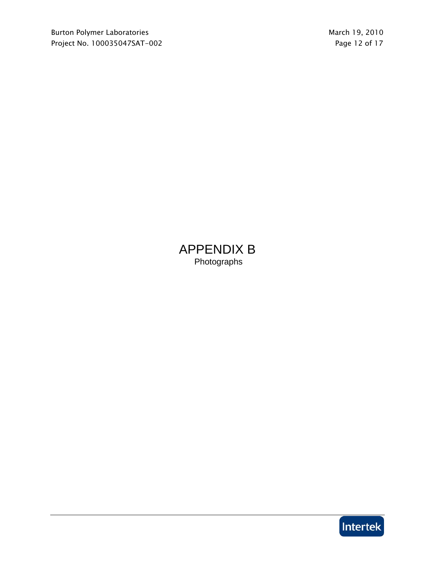APPENDIX B Photographs

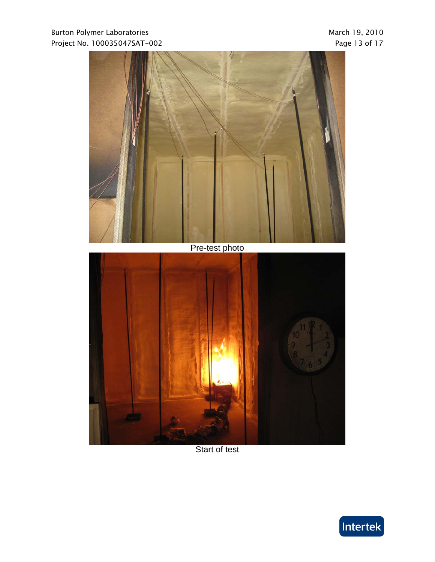### Burton Polymer Laboratories and the state of the March 19, 2010 Project No. 100035047SAT-002 Project No. 100035047SAT-002



Start of test

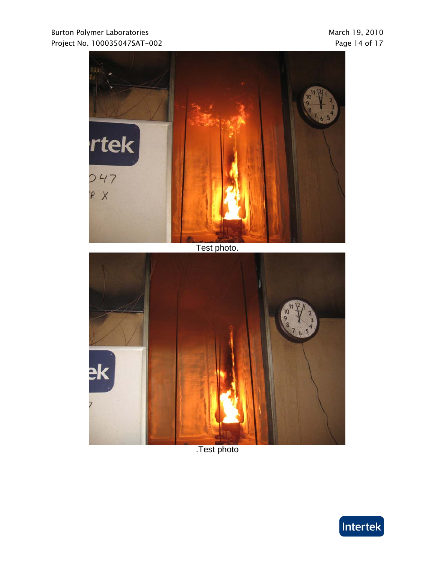



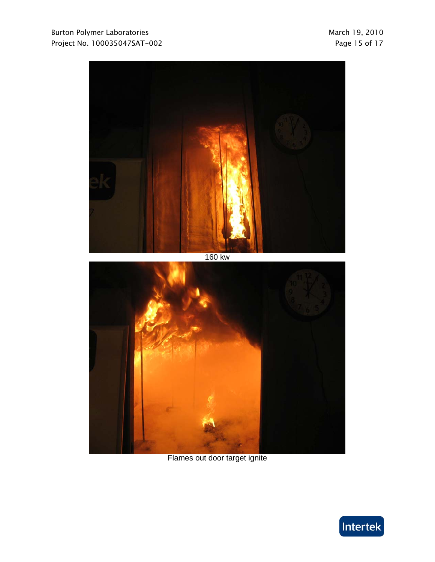

160 kw



Flames out door target ignite

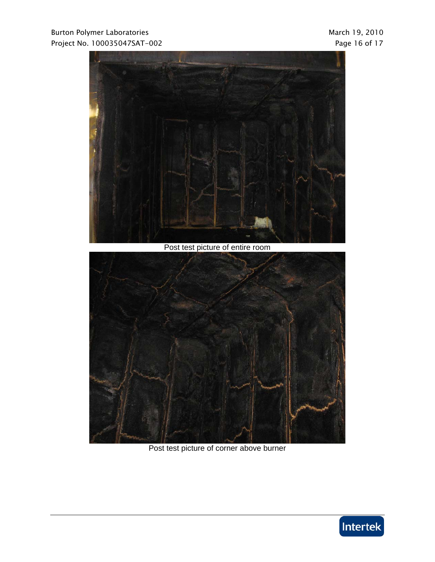### Burton Polymer Laboratories and the extension of the March 19, 2010 Project No. 100035047SAT-002 **Project No. 100035047SAT-002**



Post test picture of entire room



Post test picture of corner above burner